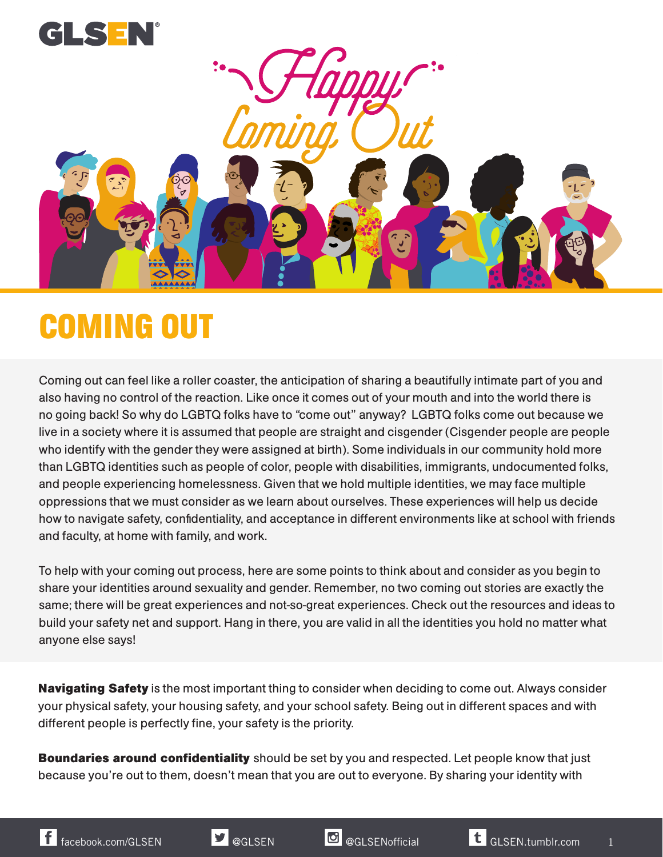

## **COMING OUT**

Coming out can feel like a roller coaster, the anticipation of sharing a beautifully intimate part of you and also having no control of the reaction. Like once it comes out of your mouth and into the world there is no going back! So why do LGBTQ folks have to "come out" anyway? LGBTQ folks come out because we live in a society where it is assumed that people are straight and cisgender (Cisgender people are people who identify with the gender they were assigned at birth). Some individuals in our community hold more than LGBTQ identities such as people of color, people with disabilities, immigrants, undocumented folks, and people experiencing homelessness. Given that we hold multiple identities, we may face multiple oppressions that we must consider as we learn about ourselves. These experiences will help us decide how to navigate safety, confidentiality, and acceptance in different environments like at school with friends and faculty, at home with family, and work.

To help with your coming out process, here are some points to think about and consider as you begin to share your identities around sexuality and gender. Remember, no two coming out stories are exactly the same; there will be great experiences and not-so-great experiences. Check out the resources and ideas to build your safety net and support. Hang in there, you are valid in all the identities you hold no matter what anyone else says!

**Navigating Safety** is the most important thing to consider when deciding to come out. Always consider your physical safety, your housing safety, and your school safety. Being out in different spaces and with different people is perfectly fine, your safety is the priority.

**Boundaries around confidentiality** should be set by you and respected. Let people know that just because you're out to them, doesn't mean that you are out to everyone. By sharing your identity with

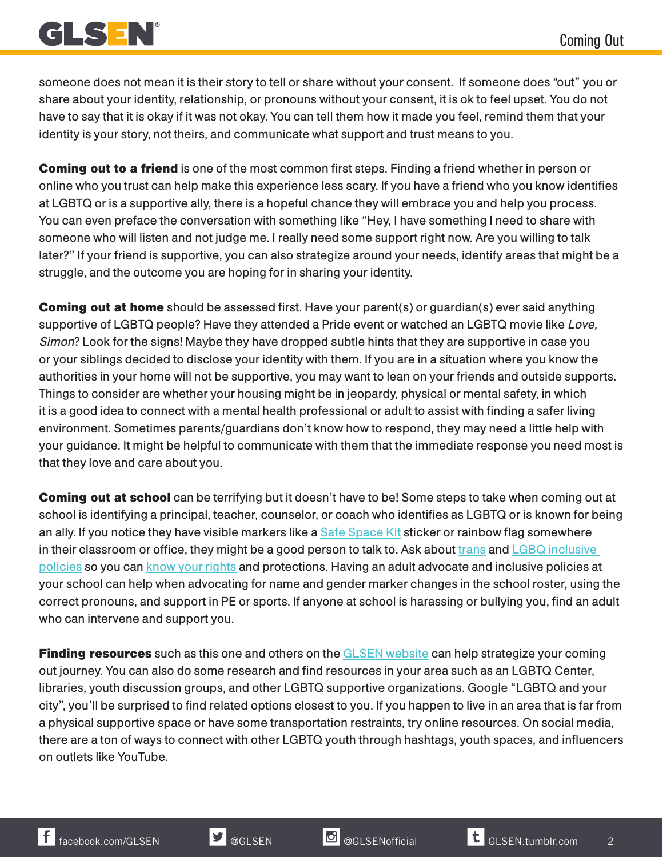

someone does not mean it is their story to tell or share without your consent. If someone does "out" you or share about your identity, relationship, or pronouns without your consent, it is ok to feel upset. You do not have to say that it is okay if it was not okay. You can tell them how it made you feel, remind them that your identity is your story, not theirs, and communicate what support and trust means to you.

**Coming out to a friend** is one of the most common first steps. Finding a friend whether in person or online who you trust can help make this experience less scary. If you have a friend who you know identifies at LGBTQ or is a supportive ally, there is a hopeful chance they will embrace you and help you process. You can even preface the conversation with something like "Hey, I have something I need to share with someone who will listen and not judge me. I really need some support right now. Are you willing to talk later?" If your friend is supportive, you can also strategize around your needs, identify areas that might be a struggle, and the outcome you are hoping for in sharing your identity.

**Coming out at home** should be assessed first. Have your parent(s) or guardian(s) ever said anything supportive of LGBTQ people? Have they attended a Pride event or watched an LGBTQ movie like Love, Simon? Look for the signs! Maybe they have dropped subtle hints that they are supportive in case you or your siblings decided to disclose your identity with them. If you are in a situation where you know the authorities in your home will not be supportive, you may want to lean on your friends and outside supports. Things to consider are whether your housing might be in jeopardy, physical or mental safety, in which it is a good idea to connect with a mental health professional or adult to assist with finding a safer living environment. Sometimes parents/guardians don't know how to respond, they may need a little help with your guidance. It might be helpful to communicate with them that the immediate response you need most is that they love and care about you.

**Coming out at school** can be terrifying but it doesn't have to be! Some steps to take when coming out at school is identifying a principal, teacher, counselor, or coach who identifies as LGBTQ or is known for being an ally. If you notice they have visible markers like a [Safe Space Kit](https://www.glsen.org/participate/programs/safe-space) sticker or rainbow flag somewhere in their classroom or office, they might be a good person to talk to. Ask about [trans](https://www.glsen.org/article/transgender-model-district-policy) and LGBQ inclusive [policies](https://www.glsen.org/article/model-laws-policies) so you can [know your rights](https://www.glsen.org/knowyourrights) and protections. Having an adult advocate and inclusive policies at your school can help when advocating for name and gender marker changes in the school roster, using the correct pronouns, and support in PE or sports. If anyone at school is harassing or bullying you, find an adult who can intervene and support you.

**Finding resources** such as this one and others on the [GLSEN website](https://www.glsen.org) can help strategize your coming out journey. You can also do some research and find resources in your area such as an LGBTQ Center, libraries, youth discussion groups, and other LGBTQ supportive organizations. Google "LGBTQ and your city", you'll be surprised to find related options closest to you. If you happen to live in an area that is far from a physical supportive space or have some transportation restraints, try online resources. On social media, there are a ton of ways to connect with other LGBTQ youth through hashtags, youth spaces, and influencers on outlets like YouTube.